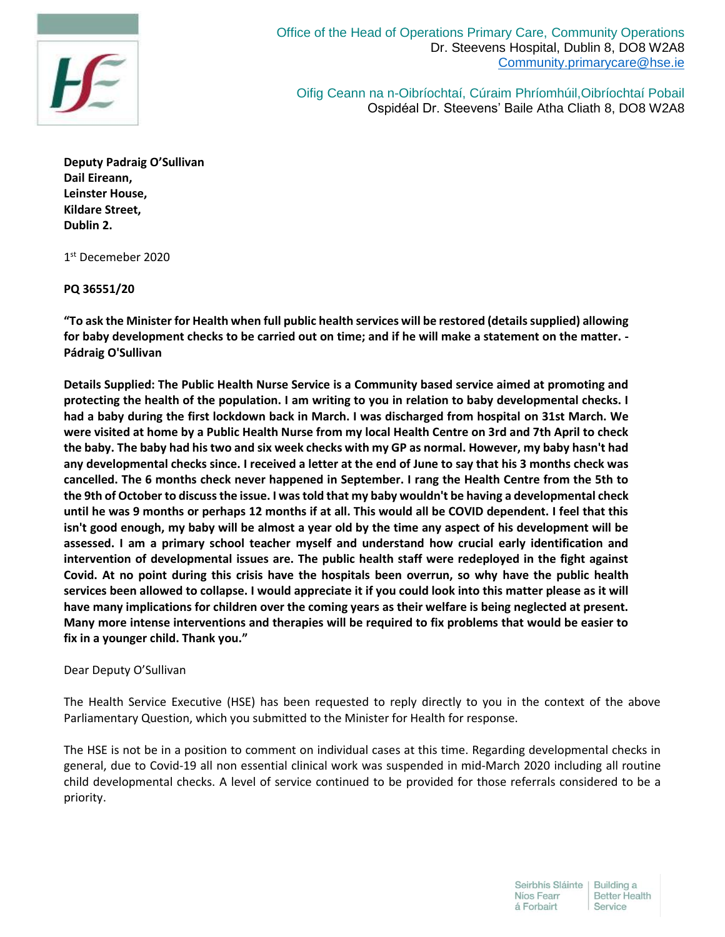

Oifig Ceann na n-Oibríochtaí, Cúraim Phríomhúil,Oibríochtaí Pobail Ospidéal Dr. Steevens' Baile Atha Cliath 8, DO8 W2A8

**Deputy Padraig O'Sullivan Dail Eireann, Leinster House, Kildare Street, Dublin 2.**

1 st Decemeber 2020

## **PQ 36551/20**

**"To ask the Minister for Health when full public health services will be restored (details supplied) allowing for baby development checks to be carried out on time; and if he will make a statement on the matter. - Pádraig O'Sullivan**

**Details Supplied: The Public Health Nurse Service is a Community based service aimed at promoting and protecting the health of the population. I am writing to you in relation to baby developmental checks. I had a baby during the first lockdown back in March. I was discharged from hospital on 31st March. We were visited at home by a Public Health Nurse from my local Health Centre on 3rd and 7th April to check the baby. The baby had his two and six week checks with my GP as normal. However, my baby hasn't had any developmental checks since. I received a letter at the end of June to say that his 3 months check was cancelled. The 6 months check never happened in September. I rang the Health Centre from the 5th to the 9th of October to discuss the issue. I was told that my baby wouldn't be having a developmental check until he was 9 months or perhaps 12 months if at all. This would all be COVID dependent. I feel that this isn't good enough, my baby will be almost a year old by the time any aspect of his development will be assessed. I am a primary school teacher myself and understand how crucial early identification and intervention of developmental issues are. The public health staff were redeployed in the fight against Covid. At no point during this crisis have the hospitals been overrun, so why have the public health services been allowed to collapse. I would appreciate it if you could look into this matter please as it will have many implications for children over the coming years as their welfare is being neglected at present. Many more intense interventions and therapies will be required to fix problems that would be easier to fix in a younger child. Thank you."**

## Dear Deputy O'Sullivan

The Health Service Executive (HSE) has been requested to reply directly to you in the context of the above Parliamentary Question, which you submitted to the Minister for Health for response.

The HSE is not be in a position to comment on individual cases at this time. Regarding developmental checks in general, due to Covid-19 all non essential clinical work was suspended in mid-March 2020 including all routine child developmental checks. A level of service continued to be provided for those referrals considered to be a priority.